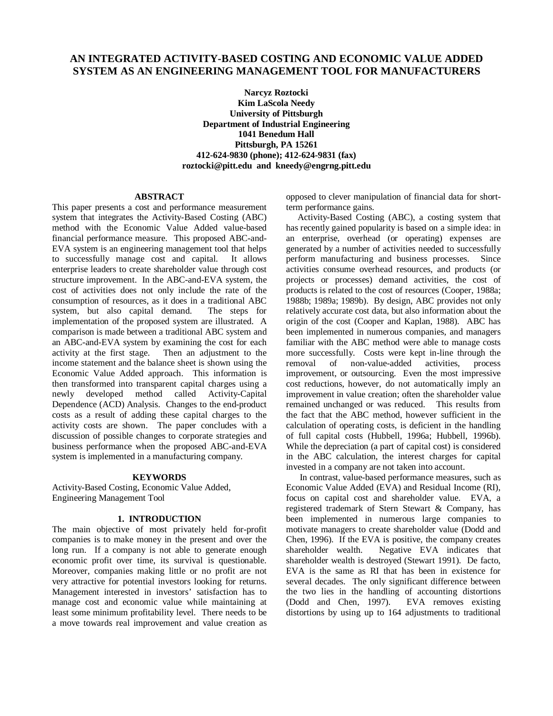# **AN INTEGRATED ACTIVITY-BASED COSTING AND ECONOMIC VALUE ADDED SYSTEM AS AN ENGINEERING MANAGEMENT TOOL FOR MANUFACTURERS**

**Narcyz Roztocki Kim LaScola Needy University of Pittsburgh Department of Industrial Engineering 1041 Benedum Hall Pittsburgh, PA 15261 412-624-9830 (phone); 412-624-9831 (fax) roztocki@pitt.edu and kneedy@engrng.pitt.edu**

# **ABSTRACT**

This paper presents a cost and performance measurement system that integrates the Activity-Based Costing (ABC) method with the Economic Value Added value-based financial performance measure. This proposed ABC-and-EVA system is an engineering management tool that helps<br>to successfully manage cost and capital. It allows to successfully manage cost and capital. enterprise leaders to create shareholder value through cost structure improvement. In the ABC-and-EVA system, the cost of activities does not only include the rate of the consumption of resources, as it does in a traditional ABC system, but also capital demand. The steps for implementation of the proposed system are illustrated. A comparison is made between a traditional ABC system and an ABC-and-EVA system by examining the cost for each activity at the first stage. Then an adjustment to the income statement and the balance sheet is shown using the Economic Value Added approach. This information is then transformed into transparent capital charges using a newly developed method called Activity-Capital Dependence (ACD) Analysis. Changes to the end-product costs as a result of adding these capital charges to the activity costs are shown. The paper concludes with a discussion of possible changes to corporate strategies and business performance when the proposed ABC-and-EVA system is implemented in a manufacturing company.

#### **KEYWORDS**

Activity-Based Costing, Economic Value Added, Engineering Management Tool

### **1. INTRODUCTION**

The main objective of most privately held for-profit companies is to make money in the present and over the long run. If a company is not able to generate enough economic profit over time, its survival is questionable. Moreover, companies making little or no profit are not very attractive for potential investors looking for returns. Management interested in investors' satisfaction has to manage cost and economic value while maintaining at least some minimum profitability level. There needs to be a move towards real improvement and value creation as

opposed to clever manipulation of financial data for shortterm performance gains.

 Activity-Based Costing (ABC), a costing system that has recently gained popularity is based on a simple idea: in an enterprise, overhead (or operating) expenses are generated by a number of activities needed to successfully perform manufacturing and business processes. Since activities consume overhead resources, and products (or projects or processes) demand activities, the cost of products is related to the cost of resources (Cooper, 1988a; 1988b; 1989a; 1989b). By design, ABC provides not only relatively accurate cost data, but also information about the origin of the cost (Cooper and Kaplan, 1988). ABC has been implemented in numerous companies, and managers familiar with the ABC method were able to manage costs more successfully. Costs were kept in-line through the removal of non-value-added activities, process improvement, or outsourcing. Even the most impressive cost reductions, however, do not automatically imply an improvement in value creation; often the shareholder value remained unchanged or was reduced. This results from the fact that the ABC method, however sufficient in the calculation of operating costs, is deficient in the handling of full capital costs (Hubbell, 1996a; Hubbell, 1996b). While the depreciation (a part of capital cost) is considered in the ABC calculation, the interest charges for capital invested in a company are not taken into account.

 In contrast, value-based performance measures, such as Economic Value Added (EVA) and Residual Income (RI), focus on capital cost and shareholder value. EVA, a registered trademark of Stern Stewart & Company, has been implemented in numerous large companies to motivate managers to create shareholder value (Dodd and Chen, 1996). If the EVA is positive, the company creates shareholder wealth. Negative EVA indicates that shareholder wealth is destroyed (Stewart 1991). De facto, EVA is the same as RI that has been in existence for several decades. The only significant difference between the two lies in the handling of accounting distortions (Dodd and Chen, 1997). EVA removes existing distortions by using up to 164 adjustments to traditional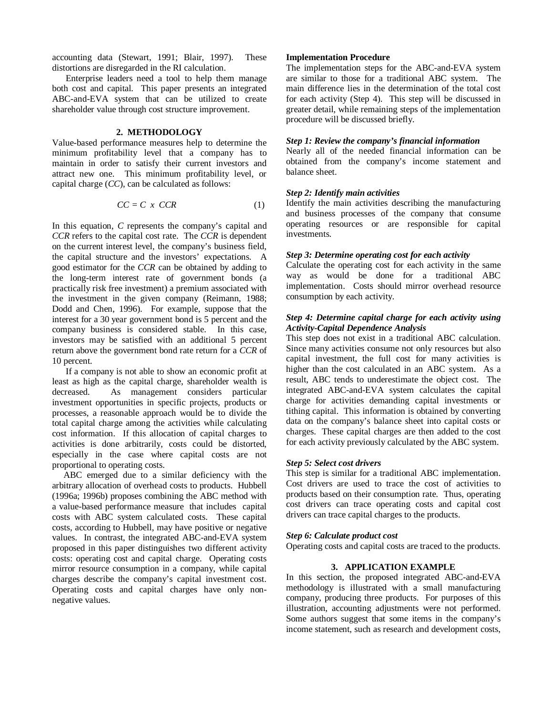accounting data (Stewart, 1991; Blair, 1997). These distortions are disregarded in the RI calculation.

 Enterprise leaders need a tool to help them manage both cost and capital. This paper presents an integrated ABC-and-EVA system that can be utilized to create shareholder value through cost structure improvement.

# **2. METHODOLOGY**

Value-based performance measures help to determine the minimum profitability level that a company has to maintain in order to satisfy their current investors and attract new one. This minimum profitability level, or capital charge (*CC*), can be calculated as follows:

$$
CC = C \times CCR \tag{1}
$$

In this equation, *C* represents the company's capital and *CCR* refers to the capital cost rate. The *CCR* is dependent on the current interest level, the company's business field, the capital structure and the investors' expectations. A good estimator for the *CCR* can be obtained by adding to the long-term interest rate of government bonds (a practically risk free investment) a premium associated with the investment in the given company (Reimann, 1988; Dodd and Chen, 1996). For example, suppose that the interest for a 30 year government bond is 5 percent and the company business is considered stable. In this case, investors may be satisfied with an additional 5 percent return above the government bond rate return for a *CCR* of 10 percent.

 If a company is not able to show an economic profit at least as high as the capital charge, shareholder wealth is decreased. As management considers particular investment opportunities in specific projects, products or processes, a reasonable approach would be to divide the total capital charge among the activities while calculating cost information. If this allocation of capital charges to activities is done arbitrarily, costs could be distorted, especially in the case where capital costs are not proportional to operating costs.

 ABC emerged due to a similar deficiency with the arbitrary allocation of overhead costs to products. Hubbell (1996a; 1996b) proposes combining the ABC method with a value-based performance measure that includes capital costs with ABC system calculated costs. These capital costs, according to Hubbell, may have positive or negative values. In contrast, the integrated ABC-and-EVA system proposed in this paper distinguishes two different activity costs: operating cost and capital charge. Operating costs mirror resource consumption in a company, while capital charges describe the company's capital investment cost. Operating costs and capital charges have only nonnegative values.

# **Implementation Procedure**

The implementation steps for the ABC-and-EVA system are similar to those for a traditional ABC system. The main difference lies in the determination of the total cost for each activity (Step 4). This step will be discussed in greater detail, while remaining steps of the implementation procedure will be discussed briefly.

#### *Step 1: Review the company's financial information*

Nearly all of the needed financial information can be obtained from the company's income statement and balance sheet.

# *Step 2: Identify main activities*

Identify the main activities describing the manufacturing and business processes of the company that consume operating resources or are responsible for capital investments.

# *Step 3: Determine operating cost for each activity*

Calculate the operating cost for each activity in the same way as would be done for a traditional ABC implementation. Costs should mirror overhead resource consumption by each activity.

# *Step 4: Determine capital charge for each activity using Activity-Capital Dependence Analysis*

This step does not exist in a traditional ABC calculation. Since many activities consume not only resources but also capital investment, the full cost for many activities is higher than the cost calculated in an ABC system. As a result, ABC tends to underestimate the object cost. The integrated ABC-and-EVA system calculates the capital charge for activities demanding capital investments or tithing capital. This information is obtained by converting data on the company's balance sheet into capital costs or charges. These capital charges are then added to the cost for each activity previously calculated by the ABC system.

## *Step 5: Select cost drivers*

This step is similar for a traditional ABC implementation. Cost drivers are used to trace the cost of activities to products based on their consumption rate. Thus, operating cost drivers can trace operating costs and capital cost drivers can trace capital charges to the products.

#### *Step 6: Calculate product cost*

Operating costs and capital costs are traced to the products.

# **3. APPLICATION EXAMPLE**

In this section, the proposed integrated ABC-and-EVA methodology is illustrated with a small manufacturing company, producing three products. For purposes of this illustration, accounting adjustments were not performed. Some authors suggest that some items in the company's income statement, such as research and development costs,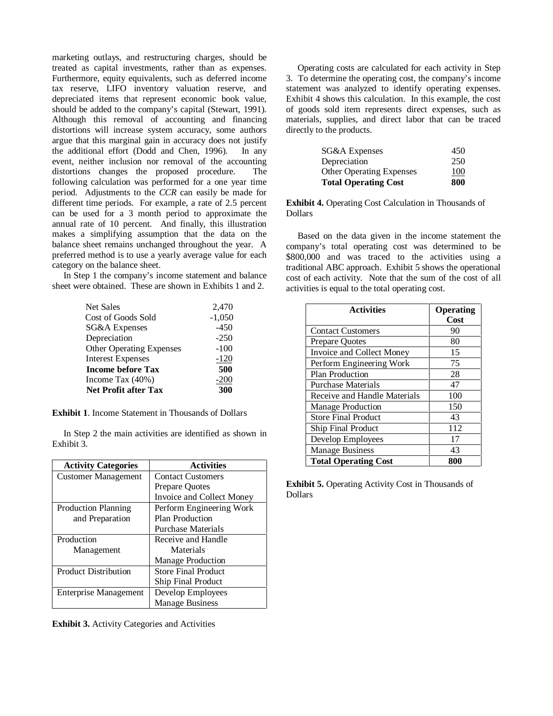marketing outlays, and restructuring charges, should be treated as capital investments, rather than as expenses. Furthermore, equity equivalents, such as deferred income tax reserve, LIFO inventory valuation reserve, and depreciated items that represent economic book value, should be added to the company's capital (Stewart, 1991). Although this removal of accounting and financing distortions will increase system accuracy, some authors argue that this marginal gain in accuracy does not justify the additional effort (Dodd and Chen, 1996). In any event, neither inclusion nor removal of the accounting distortions changes the proposed procedure. The following calculation was performed for a one year time period. Adjustments to the *CCR* can easily be made for different time periods. For example, a rate of 2.5 percent can be used for a 3 month period to approximate the annual rate of 10 percent. And finally, this illustration makes a simplifying assumption that the data on the balance sheet remains unchanged throughout the year. A preferred method is to use a yearly average value for each category on the balance sheet.

 In Step 1 the company's income statement and balance sheet were obtained. These are shown in Exhibits 1 and 2.

| Net Sales                       | 2,470    |
|---------------------------------|----------|
| Cost of Goods Sold              | $-1,050$ |
| <b>SG&amp;A</b> Expenses        | $-450$   |
| Depreciation                    | $-250$   |
| <b>Other Operating Expenses</b> | $-100$   |
| <b>Interest Expenses</b>        | $-120$   |
| <b>Income before Tax</b>        | 500      |
| Income Tax (40%)                | $-200$   |
| <b>Net Profit after Tax</b>     | 300      |

**Exhibit 1**. Income Statement in Thousands of Dollars

 In Step 2 the main activities are identified as shown in Exhibit 3.

| <b>Activity Categories</b>   | <b>Activities</b>          |
|------------------------------|----------------------------|
| <b>Customer Management</b>   | <b>Contact Customers</b>   |
|                              | <b>Prepare Quotes</b>      |
|                              | Invoice and Collect Money  |
| <b>Production Planning</b>   | Perform Engineering Work   |
| and Preparation              | Plan Production            |
|                              | <b>Purchase Materials</b>  |
| Production                   | Receive and Handle         |
| Management                   | Materials                  |
|                              | Manage Production          |
| <b>Product Distribution</b>  | <b>Store Final Product</b> |
|                              | <b>Ship Final Product</b>  |
| <b>Enterprise Management</b> | Develop Employees          |
|                              | <b>Manage Business</b>     |

**Exhibit 3.** Activity Categories and Activities

 Operating costs are calculated for each activity in Step 3. To determine the operating cost, the company's income statement was analyzed to identify operating expenses. Exhibit 4 shows this calculation. In this example, the cost of goods sold item represents direct expenses, such as materials, supplies, and direct labor that can be traced directly to the products.

| SG&A Expenses                   | 450 |
|---------------------------------|-----|
| Depreciation                    | 250 |
| <b>Other Operating Expenses</b> | 100 |
| <b>Total Operating Cost</b>     | 800 |

**Exhibit 4.** Operating Cost Calculation in Thousands of Dollars

 Based on the data given in the income statement the company's total operating cost was determined to be \$800,000 and was traced to the activities using a traditional ABC approach. Exhibit 5 shows the operational cost of each activity. Note that the sum of the cost of all activities is equal to the total operating cost.

| <b>Activities</b>            | Operating<br>Cost |
|------------------------------|-------------------|
| <b>Contact Customers</b>     | 90                |
| <b>Prepare Quotes</b>        | 80                |
| Invoice and Collect Money    | 15                |
| Perform Engineering Work     | 75                |
| <b>Plan Production</b>       | 28                |
| <b>Purchase Materials</b>    | 47                |
| Receive and Handle Materials | 100               |
| <b>Manage Production</b>     | 150               |
| <b>Store Final Product</b>   | 43                |
| <b>Ship Final Product</b>    | 112               |
| Develop Employees            | 17                |
| <b>Manage Business</b>       | 43                |
| <b>Total Operating Cost</b>  | 800               |

**Exhibit 5.** Operating Activity Cost in Thousands of Dollars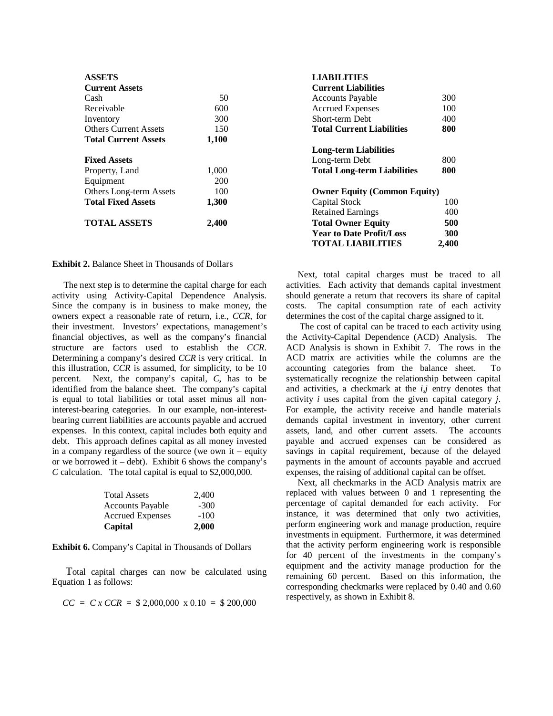| <b>ASSETS</b>                  |            | <b>LIABILITIES</b>                  |
|--------------------------------|------------|-------------------------------------|
| <b>Current Assets</b>          |            | <b>Current Liabilities</b>          |
| Cash                           | 50         | <b>Accounts Payable</b>             |
| Receivable                     | 600        | <b>Accrued Expenses</b>             |
| Inventory                      | 300        | Short-term Debt                     |
| <b>Others Current Assets</b>   | 150        | <b>Total Current Liabilities</b>    |
| <b>Total Current Assets</b>    | 1,100      |                                     |
|                                |            | <b>Long-term Liabilities</b>        |
| <b>Fixed Assets</b>            |            | Long-term Debt                      |
| Property, Land                 | 1,000      | <b>Total Long-term Liabilities</b>  |
| Equipment                      | <b>200</b> |                                     |
| <b>Others Long-term Assets</b> | 100        | <b>Owner Equity (Common Equity)</b> |
| <b>Total Fixed Assets</b>      | 1,300      | Capital Stock                       |
|                                |            | <b>Retained Earnings</b>            |
| <b>TOTAL ASSETS</b>            | 2,400      | <b>Total Owner Equity</b>           |
|                                |            | Voor to Dota Drafit/Logg            |

**Exhibit 2.** Balance Sheet in Thousands of Dollars

 The next step is to determine the capital charge for each activity using Activity-Capital Dependence Analysis. Since the company is in business to make money, the owners expect a reasonable rate of return, i.e., *CCR*, for their investment. Investors' expectations, management's financial objectives, as well as the company's financial structure are factors used to establish the *CCR*. Determining a company's desired *CCR* is very critical. In this illustration, *CCR* is assumed, for simplicity, to be 10 percent. Next, the company's capital, *C*, has to be identified from the balance sheet. The company's capital is equal to total liabilities or total asset minus all noninterest-bearing categories. In our example, non-interestbearing current liabilities are accounts payable and accrued expenses. In this context, capital includes both equity and debt. This approach defines capital as all money invested in a company regardless of the source (we own it – equity or we borrowed it – debt). Exhibit 6 shows the company's *C* calculation. The total capital is equal to \$2,000,000.

| <b>Total Assets</b>     | 2.400  |
|-------------------------|--------|
| <b>Accounts Payable</b> | $-300$ |
| <b>Accrued Expenses</b> | $-100$ |
| Capital                 | 2,000  |

**Exhibit 6.** Company's Capital in Thousands of Dollars

 Total capital charges can now be calculated using Equation 1 as follows:

$$
CC = C x CCR = $2,000,000 \text{ x } 0.10 = $200,000
$$

**LIABILITIES** 

| <b>Current Assets</b>        |       | <b>Current Liabilities</b>          |       |
|------------------------------|-------|-------------------------------------|-------|
| Cash                         | 50    | <b>Accounts Payable</b>             | 300   |
| Receivable                   | 600   | <b>Accrued Expenses</b>             | 100   |
| Inventory                    | 300   | Short-term Debt                     | 400   |
| <b>Others Current Assets</b> | 150   | <b>Total Current Liabilities</b>    | 800   |
| <b>Total Current Assets</b>  | 1,100 |                                     |       |
|                              |       | <b>Long-term Liabilities</b>        |       |
| <b>Fixed Assets</b>          |       | Long-term Debt                      | 800   |
| Property, Land               | 1,000 | <b>Total Long-term Liabilities</b>  | 800   |
| Equipment                    | 200   |                                     |       |
| Others Long-term Assets      | 100   | <b>Owner Equity (Common Equity)</b> |       |
| <b>Total Fixed Assets</b>    | 1,300 | Capital Stock                       | 100   |
|                              |       | <b>Retained Earnings</b>            | 400   |
| <b>TOTAL ASSETS</b>          | 2,400 | <b>Total Owner Equity</b>           | 500   |
|                              |       | <b>Year to Date Profit/Loss</b>     | 300   |
|                              |       | <b>TOTAL LIABILITIES</b>            | 2,400 |

 Next, total capital charges must be traced to all activities. Each activity that demands capital investment should generate a return that recovers its share of capital costs. The capital consumption rate of each activity determines the cost of the capital charge assigned to it.

 The cost of capital can be traced to each activity using the Activity-Capital Dependence (ACD) Analysis. The ACD Analysis is shown in Exhibit 7. The rows in the ACD matrix are activities while the columns are the accounting categories from the balance sheet. To systematically recognize the relationship between capital and activities, a checkmark at the *i,j* entry denotes that activity *i* uses capital from the given capital category *j*. For example, the activity receive and handle materials demands capital investment in inventory, other current assets, land, and other current assets. The accounts payable and accrued expenses can be considered as savings in capital requirement, because of the delayed payments in the amount of accounts payable and accrued expenses, the raising of additional capital can be offset.

 Next, all checkmarks in the ACD Analysis matrix are replaced with values between 0 and 1 representing the percentage of capital demanded for each activity. For instance, it was determined that only two activities, perform engineering work and manage production, require investments in equipment. Furthermore, it was determined that the activity perform engineering work is responsible for 40 percent of the investments in the company's equipment and the activity manage production for the remaining 60 percent. Based on this information, the corresponding checkmarks were replaced by 0.40 and 0.60 respectively, as shown in Exhibit 8.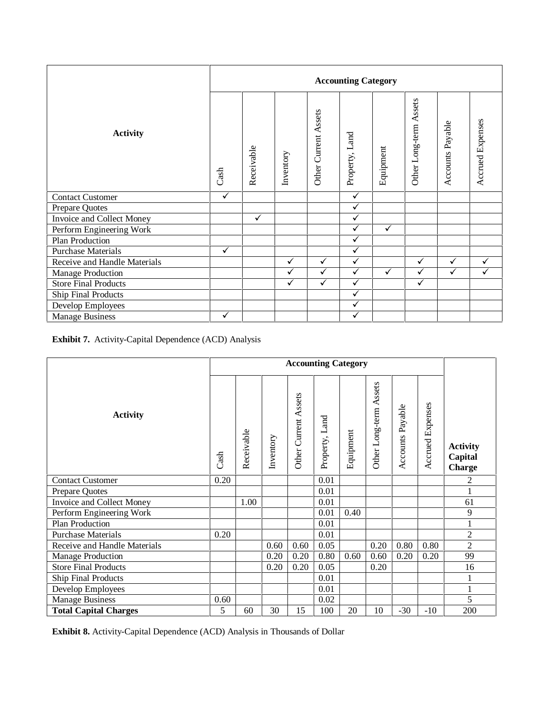|                              |                    | <b>Accounting Category</b> |              |                      |                   |              |                        |                  |                         |  |
|------------------------------|--------------------|----------------------------|--------------|----------------------|-------------------|--------------|------------------------|------------------|-------------------------|--|
| <b>Activity</b>              | Cash               | Receivable                 | Inventory    | Other Current Assets | Land<br>Property, | Equipment    | Other Long-term Assets | Accounts Payable | <b>Accrued Expenses</b> |  |
| <b>Contact Customer</b>      | $\bar{\checkmark}$ |                            |              |                      | $\checkmark$      |              |                        |                  |                         |  |
| Prepare Quotes               |                    |                            |              |                      | ✓                 |              |                        |                  |                         |  |
| Invoice and Collect Money    |                    | $\checkmark$               |              |                      | ✓                 |              |                        |                  |                         |  |
| Perform Engineering Work     |                    |                            |              |                      | ✓                 | ✓            |                        |                  |                         |  |
| Plan Production              |                    |                            |              |                      | ✓                 |              |                        |                  |                         |  |
| <b>Purchase Materials</b>    | ✓                  |                            |              |                      | ✓                 |              |                        |                  |                         |  |
| Receive and Handle Materials |                    |                            | $\checkmark$ | $\checkmark$         | $\checkmark$      |              | $\checkmark$           | $\checkmark$     | ✓                       |  |
| Manage Production            |                    |                            | $\checkmark$ | $\checkmark$         | $\checkmark$      | $\checkmark$ | $\checkmark$           | $\checkmark$     | ✓                       |  |
| <b>Store Final Products</b>  |                    |                            | ✓            | $\checkmark$         | ✓                 |              | $\checkmark$           |                  |                         |  |
| Ship Final Products          |                    |                            |              |                      | $\checkmark$      |              |                        |                  |                         |  |
| Develop Employees            |                    |                            |              |                      | ✓                 |              |                        |                  |                         |  |
| <b>Manage Business</b>       | ✓                  |                            |              |                      | ✓                 |              |                        |                  |                         |  |

**Exhibit 7.** Activity-Capital Dependence (ACD) Analysis

| <b>Accounting Category</b>   |      |            |           |                      |                |           |                           |                     |                         |                                             |
|------------------------------|------|------------|-----------|----------------------|----------------|-----------|---------------------------|---------------------|-------------------------|---------------------------------------------|
| <b>Activity</b>              | Cash | Receivable | Inventory | Other Current Assets | Property, Land | Equipment | Assets<br>Other Long-term | Payable<br>Accounts | <b>Accrued Expenses</b> | <b>Activity</b><br>Capital<br><b>Charge</b> |
| <b>Contact Customer</b>      | 0.20 |            |           |                      | 0.01           |           |                           |                     |                         | $\overline{c}$                              |
| Prepare Quotes               |      |            |           |                      | 0.01           |           |                           |                     |                         | 1                                           |
| Invoice and Collect Money    |      | 1.00       |           |                      | 0.01           |           |                           |                     |                         | 61                                          |
| Perform Engineering Work     |      |            |           |                      | 0.01           | 0.40      |                           |                     |                         | 9                                           |
| Plan Production              |      |            |           |                      | 0.01           |           |                           |                     |                         | $\mathbf{1}$                                |
| <b>Purchase Materials</b>    | 0.20 |            |           |                      | 0.01           |           |                           |                     |                         | $\overline{2}$                              |
| Receive and Handle Materials |      |            | 0.60      | 0.60                 | 0.05           |           | 0.20                      | 0.80                | 0.80                    | $\overline{2}$                              |
| <b>Manage Production</b>     |      |            | 0.20      | 0.20                 | 0.80           | 0.60      | 0.60                      | 0.20                | 0.20                    | 99                                          |
| <b>Store Final Products</b>  |      |            | 0.20      | 0.20                 | 0.05           |           | 0.20                      |                     |                         | 16                                          |
| <b>Ship Final Products</b>   |      |            |           |                      | 0.01           |           |                           |                     |                         |                                             |
| Develop Employees            |      |            |           |                      | 0.01           |           |                           |                     |                         | $\mathbf{1}$                                |
| <b>Manage Business</b>       | 0.60 |            |           |                      | 0.02           |           |                           |                     |                         | 5                                           |
| <b>Total Capital Charges</b> | 5    | 60         | 30        | 15                   | 100            | 20        | 10                        | $-30$               | $-10$                   | 200                                         |

**Exhibit 8.** Activity-Capital Dependence (ACD) Analysis in Thousands of Dollar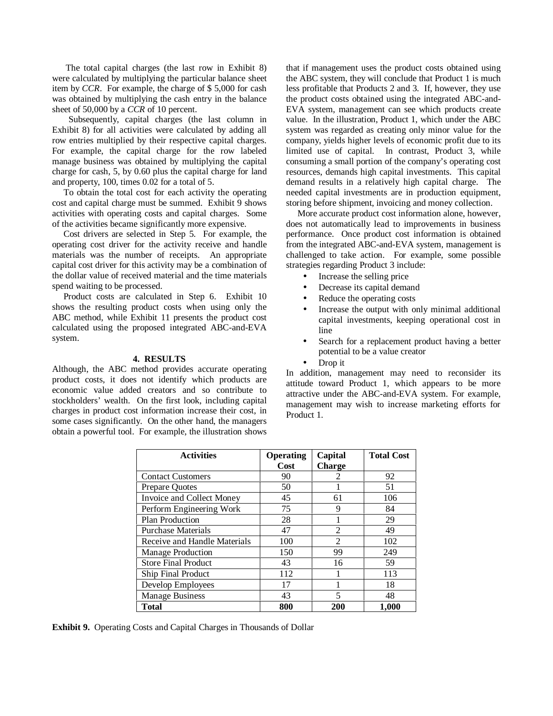The total capital charges (the last row in Exhibit 8) were calculated by multiplying the particular balance sheet item by *CCR*. For example, the charge of \$ 5,000 for cash was obtained by multiplying the cash entry in the balance sheet of 50,000 by a *CCR* of 10 percent.

 Subsequently, capital charges (the last column in Exhibit 8) for all activities were calculated by adding all row entries multiplied by their respective capital charges. For example, the capital charge for the row labeled manage business was obtained by multiplying the capital charge for cash, 5, by 0.60 plus the capital charge for land and property, 100, times 0.02 for a total of 5.

 To obtain the total cost for each activity the operating cost and capital charge must be summed. Exhibit 9 shows activities with operating costs and capital charges. Some of the activities became significantly more expensive.

 Cost drivers are selected in Step 5. For example, the operating cost driver for the activity receive and handle materials was the number of receipts. An appropriate capital cost driver for this activity may be a combination of the dollar value of received material and the time materials spend waiting to be processed.

 Product costs are calculated in Step 6. Exhibit 10 shows the resulting product costs when using only the ABC method, while Exhibit 11 presents the product cost calculated using the proposed integrated ABC-and-EVA system.

# **4. RESULTS**

Although, the ABC method provides accurate operating product costs, it does not identify which products are economic value added creators and so contribute to stockholders' wealth. On the first look, including capital charges in product cost information increase their cost, in some cases significantly. On the other hand, the managers obtain a powerful tool. For example, the illustration shows that if management uses the product costs obtained using the ABC system, they will conclude that Product 1 is much less profitable that Products 2 and 3. If, however, they use the product costs obtained using the integrated ABC-and-EVA system, management can see which products create value. In the illustration, Product 1, which under the ABC system was regarded as creating only minor value for the company, yields higher levels of economic profit due to its limited use of capital. In contrast, Product 3, while consuming a small portion of the company's operating cost resources, demands high capital investments. This capital demand results in a relatively high capital charge. The needed capital investments are in production equipment, storing before shipment, invoicing and money collection.

 More accurate product cost information alone, however, does not automatically lead to improvements in business performance. Once product cost information is obtained from the integrated ABC-and-EVA system, management is challenged to take action. For example, some possible strategies regarding Product 3 include:

- Increase the selling price
- Decrease its capital demand
- Reduce the operating costs
- Increase the output with only minimal additional capital investments, keeping operational cost in line
- Search for a replacement product having a better potential to be a value creator
- Drop it

In addition, management may need to reconsider its attitude toward Product 1, which appears to be more attractive under the ABC-and-EVA system. For example, management may wish to increase marketing efforts for Product 1.

| <b>Activities</b>            | <b>Operating</b> | Capital        | <b>Total Cost</b> |
|------------------------------|------------------|----------------|-------------------|
|                              | Cost             | <b>Charge</b>  |                   |
| <b>Contact Customers</b>     | 90               | 2              | 92                |
| Prepare Quotes               | 50               |                | 51                |
| Invoice and Collect Money    | 45               | 61             | 106               |
| Perform Engineering Work     | 75               | 9              | 84                |
| Plan Production              | 28               |                | 29                |
| <b>Purchase Materials</b>    | 47               | 2              | 49                |
| Receive and Handle Materials | 100              | $\mathfrak{D}$ | 102               |
| <b>Manage Production</b>     | 150              | 99             | 249               |
| <b>Store Final Product</b>   | 43               | 16             | 59                |
| <b>Ship Final Product</b>    | 112              |                | 113               |
| Develop Employees            | 17               |                | 18                |
| <b>Manage Business</b>       | 43               | 5              | 48                |
| <b>Total</b>                 | 800              | 200            | 1,000             |

**Exhibit 9.** Operating Costs and Capital Charges in Thousands of Dollar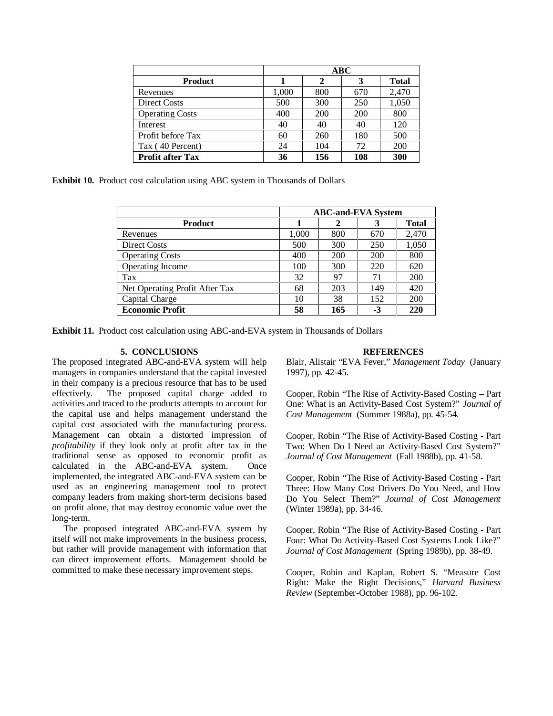|                         | ABC   |     |     |              |  |  |  |  |
|-------------------------|-------|-----|-----|--------------|--|--|--|--|
| <b>Product</b>          |       | 2   | 3   | <b>Total</b> |  |  |  |  |
| Revenues                | 1,000 | 800 | 670 | 2,470        |  |  |  |  |
| Direct Costs            | 500   | 300 | 250 | 1,050        |  |  |  |  |
| <b>Operating Costs</b>  | 400   | 200 | 200 | 800          |  |  |  |  |
| Interest                | 40    | 40  | 40  | 120          |  |  |  |  |
| Profit before Tax       | 60    | 260 | 180 | 500          |  |  |  |  |
| Tax (40 Percent)        | 24    | 104 | 72  | 200          |  |  |  |  |
| <b>Profit after Tax</b> | 36    | 156 | 108 | 300          |  |  |  |  |

**Exhibit 10.** Product cost calculation using ABC system in Thousands of Dollars

|                                | <b>ABC-and-EVA System</b> |     |     |       |  |  |  |
|--------------------------------|---------------------------|-----|-----|-------|--|--|--|
| <b>Product</b>                 | Total                     |     |     |       |  |  |  |
| Revenues                       | 1.000                     | 800 | 670 | 2,470 |  |  |  |
| Direct Costs                   | 500                       | 300 | 250 | 1,050 |  |  |  |
| <b>Operating Costs</b>         | 400                       | 200 | 200 | 800   |  |  |  |
| Operating Income               | 100                       | 300 | 220 | 620   |  |  |  |
| Tax                            | 32                        | 97  | 71  | 200   |  |  |  |
| Net Operating Profit After Tax | 68                        | 203 | 149 | 420   |  |  |  |
| Capital Charge                 | 10                        | 38  | 152 | 200   |  |  |  |
| <b>Economic Profit</b>         | 58                        | 165 | -3  | 220   |  |  |  |

**Exhibit 11.** Product cost calculation using ABC-and-EVA system in Thousands of Dollars

# **5. CONCLUSIONS**

The proposed integrated ABC-and-EVA system will help managers in companies understand that the capital invested in their company is a precious resource that has to be used effectively. The proposed capital charge added to activities and traced to the products attempts to account for the capital use and helps management understand the capital cost associated with the manufacturing process. Management can obtain a distorted impression of *profitability* if they look only at profit after tax in the traditional sense as opposed to economic profit as calculated in the ABC-and-EVA system. Once implemented, the integrated ABC-and-EVA system can be used as an engineering management tool to protect company leaders from making short-term decisions based on profit alone, that may destroy economic value over the long-term.

 The proposed integrated ABC-and-EVA system by itself will not make improvements in the business process, but rather will provide management with information that can direct improvement efforts. Management should be committed to make these necessary improvement steps.

#### **REFERENCES**

Blair, Alistair "EVA Fever," *Management Today* (January 1997), pp. 42-45.

Cooper, Robin "The Rise of Activity-Based Costing – Part One: What is an Activity-Based Cost System?" *Journal of Cost Management* (Summer 1988a), pp. 45-54.

Cooper, Robin "The Rise of Activity-Based Costing - Part Two: When Do I Need an Activity-Based Cost System?" *Journal of Cost Management* (Fall 1988b), pp. 41-58.

Cooper, Robin "The Rise of Activity-Based Costing - Part Three: How Many Cost Drivers Do You Need, and How Do You Select Them?" *Journal of Cost Management* (Winter 1989a), pp. 34-46.

Cooper, Robin "The Rise of Activity-Based Costing - Part Four: What Do Activity-Based Cost Systems Look Like?" *Journal of Cost Management* (Spring 1989b), pp. 38-49.

Cooper, Robin and Kaplan, Robert S. "Measure Cost Right: Make the Right Decisions," *Harvard Business Review* (September-October 1988), pp. 96-102.